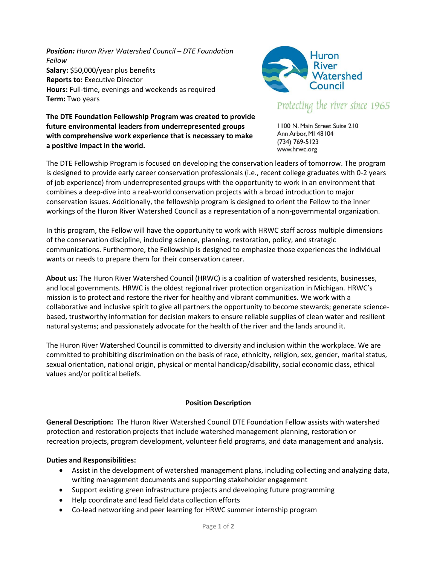*Position: Huron River Watershed Council – DTE Foundation Fellow* **Salary:** \$50,000/year plus benefits **Reports to:** Executive Director **Hours:** Full-time, evenings and weekends as required **Term:** Two years



# Protecting the river since 1965

**The DTE Foundation Fellowship Program was created to provide future environmental leaders from underrepresented groups with comprehensive work experience that is necessary to make a positive impact in the world.**

1100 N. Main Street Suite 210 Ann Arbor, MI 48104  $(734) 769 - 5123$ www.hrwc.org

The DTE Fellowship Program is focused on developing the conservation leaders of tomorrow. The program is designed to provide early career conservation professionals (i.e., recent college graduates with 0-2 years of job experience) from underrepresented groups with the opportunity to work in an environment that combines a deep-dive into a real-world conservation projects with a broad introduction to major conservation issues. Additionally, the fellowship program is designed to orient the Fellow to the inner workings of the Huron River Watershed Council as a representation of a non-governmental organization.

In this program, the Fellow will have the opportunity to work with HRWC staff across multiple dimensions of the conservation discipline, including science, planning, restoration, policy, and strategic communications. Furthermore, the Fellowship is designed to emphasize those experiences the individual wants or needs to prepare them for their conservation career.

**About us:** The Huron River Watershed Council (HRWC) is a coalition of watershed residents, businesses, and local governments. HRWC is the oldest regional river protection organization in Michigan. HRWC's mission is to protect and restore the river for healthy and vibrant communities. We work with a collaborative and inclusive spirit to give all partners the opportunity to become stewards; generate sciencebased, trustworthy information for decision makers to ensure reliable supplies of clean water and resilient natural systems; and passionately advocate for the health of the river and the lands around it.

The Huron River Watershed Council is committed to diversity and inclusion within the workplace. We are committed to prohibiting discrimination on the basis of race, ethnicity, religion, sex, gender, marital status, sexual orientation, national origin, physical or mental handicap/disability, social economic class, ethical values and/or political beliefs.

## **Position Description**

**General Description:** The Huron River Watershed Council DTE Foundation Fellow assists with watershed protection and restoration projects that include watershed management planning, restoration or recreation projects, program development, volunteer field programs, and data management and analysis.

## **Duties and Responsibilities:**

- Assist in the development of watershed management plans, including collecting and analyzing data, writing management documents and supporting stakeholder engagement
- Support existing green infrastructure projects and developing future programming
- Help coordinate and lead field data collection efforts
- Co-lead networking and peer learning for HRWC summer internship program